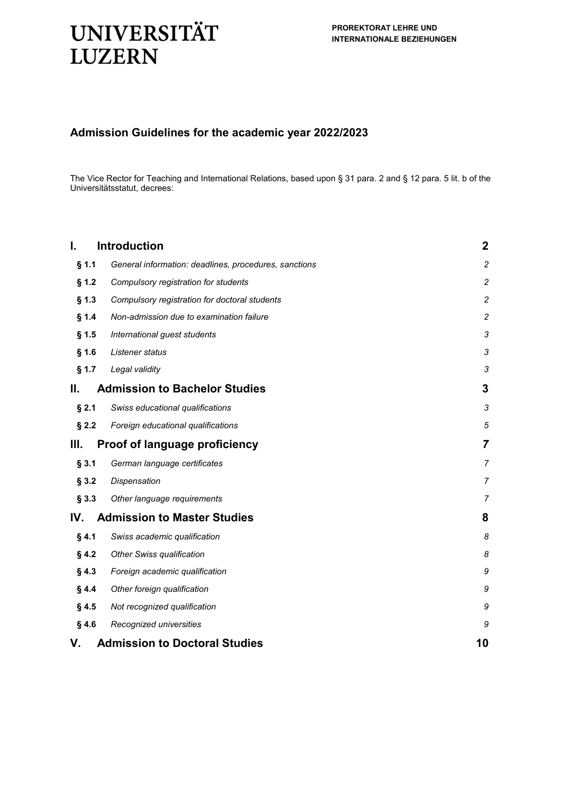# **UNIVERSITÄT LUZERN**

# **Admission Guidelines for the academic year 2022/2023**

The Vice Rector for Teaching and International Relations, based upon § 31 para. 2 and § 12 para. 5 lit. b of the Universitätsstatut, decrees:

| <b>Introduction</b>                                              | $\boldsymbol{2}$           |
|------------------------------------------------------------------|----------------------------|
| $§$ 1.1<br>General information: deadlines, procedures, sanctions | $\overline{c}$             |
| § 1.2<br>Compulsory registration for students                    | 2                          |
| $§$ 1.3<br>Compulsory registration for doctoral students         | $\overline{c}$             |
| § 1.4<br>Non-admission due to examination failure                | $\overline{c}$             |
| International guest students<br>$§$ 1.5                          | $\boldsymbol{\mathcal{S}}$ |
| $§$ 1.6<br>Listener status                                       | 3                          |
| § 1.7<br>Legal validity                                          | 3                          |
| <b>Admission to Bachelor Studies</b>                             | 3                          |
| $§$ 2.1<br>Swiss educational qualifications                      | 3                          |
| $§$ 2.2<br>Foreign educational qualifications                    | 5                          |
| <b>Proof of language proficiency</b>                             | $\overline{7}$             |
| § 3.1<br>German language certificates                            | $\overline{7}$             |
| §3.2<br>Dispensation                                             | $\overline{7}$             |
| § 3.3<br>Other language requirements                             | 7                          |
| <b>Admission to Master Studies</b>                               | 8                          |
| § 4.1<br>Swiss academic qualification                            | 8                          |
| <b>Other Swiss qualification</b><br>§ 4.2                        | 8                          |
| §4.3<br>Foreign academic qualification                           | 9                          |
| §4.4<br>Other foreign qualification                              | 9                          |
| §4.5<br>Not recognized qualification                             | 9                          |
| §4.6<br>Recognized universities                                  | 9                          |
| <b>Admission to Doctoral Studies</b>                             | 10                         |
|                                                                  |                            |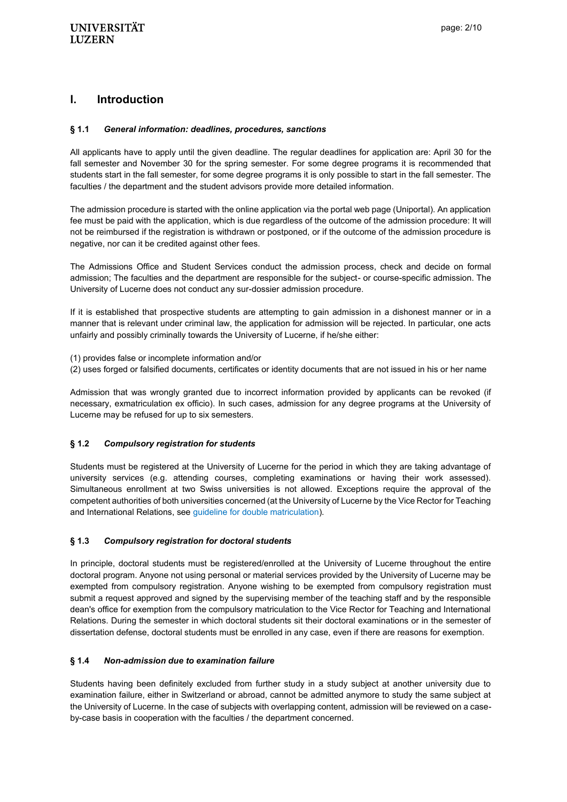# <span id="page-1-0"></span>**l. Introduction**

#### <span id="page-1-1"></span>**§ 1.1** *General information: deadlines, procedures, sanctions*

<span id="page-1-2"></span>All applicants have to apply until the given deadline. The regular deadlines for application are: April 30 for the fall semester and November 30 for the spring semester. For some degree programs it is recommended that students start in the fall semester, for some degree programs it is only possible to start in the fall semester. The faculties / the department and the student advisors provide more detailed information.

The admission procedure is started with the online application via the portal web page (Uniportal). An application fee must be paid with the application, which is due regardless of the outcome of the admission procedure: It will not be reimbursed if the registration is withdrawn or postponed, or if the outcome of the admission procedure is negative, nor can it be credited against other fees.

The Admissions Office and Student Services conduct the admission process, check and decide on formal admission; The faculties and the department are responsible for the subject- or course-specific admission. The University of Lucerne does not conduct any sur-dossier admission procedure.

If it is established that prospective students are attempting to gain admission in a dishonest manner or in a manner that is relevant under criminal law, the application for admission will be rejected. In particular, one acts unfairly and possibly criminally towards the University of Lucerne, if he/she either:

(1) provides false or incomplete information and/or

(2) uses forged or falsified documents, certificates or identity documents that are not issued in his or her name

Admission that was wrongly granted due to incorrect information provided by applicants can be revoked (if necessary, exmatriculation ex officio). In such cases, admission for any degree programs at the University of Lucerne may be refused for up to six semesters.

#### **§ 1.2** *Compulsory registration for students*

<span id="page-1-3"></span>Students must be registered at the University of Lucerne for the period in which they are taking advantage of university services (e.g. attending courses, completing examinations or having their work assessed). Simultaneous enrollment at two Swiss universities is not allowed. Exceptions require the approval of the competent authorities of both universities concerned (at the University of Lucerne by the Vice Rector for Teaching and International Relations, see [guideline for double matriculation\)](https://www.unilu.ch/fileadmin/universitaet/unileitung/dokumente/reglemente_studium/Richtlinie_universitaetsuebergreifende_Doppelimmatrikulationen.pdf).

#### **§ 1.3** *Compulsory registration for doctoral students*

<span id="page-1-4"></span>In principle, doctoral students must be registered/enrolled at the University of Lucerne throughout the entire doctoral program. Anyone not using personal or material services provided by the University of Lucerne may be exempted from compulsory registration. Anyone wishing to be exempted from compulsory registration must submit a request approved and signed by the supervising member of the teaching staff and by the responsible dean's office for exemption from the compulsory matriculation to the Vice Rector for Teaching and International Relations. During the semester in which doctoral students sit their doctoral examinations or in the semester of dissertation defense, doctoral students must be enrolled in any case, even if there are reasons for exemption.

#### **§ 1.4** *Non-admission due to examination failure*

<span id="page-1-5"></span>Students having been definitely excluded from further study in a study subject at another university due to examination failure, either in Switzerland or abroad, cannot be admitted anymore to study the same subject at the University of Lucerne. In the case of subjects with overlapping content, admission will be reviewed on a caseby-case basis in cooperation with the faculties / the department concerned.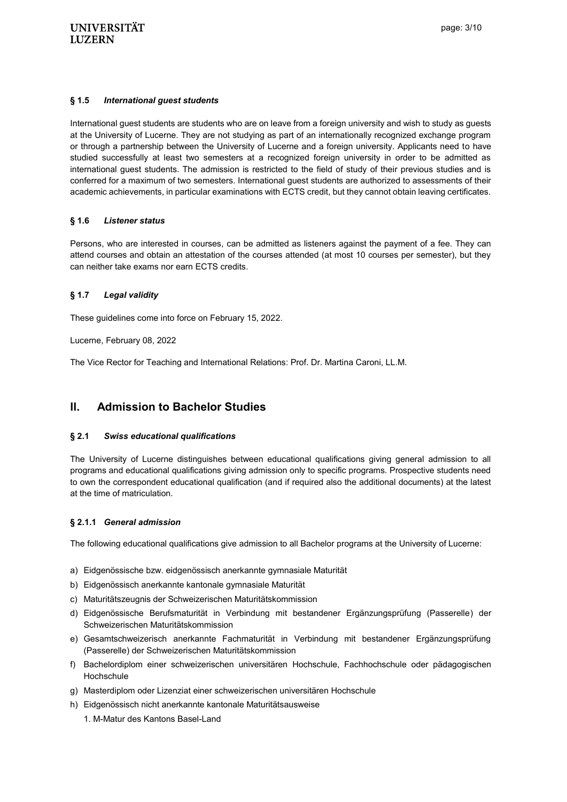## **§ 1.5** *International guest students*

International guest students are students who are on leave from a foreign university and wish to study as guests at the University of Lucerne. They are not studying as part of an internationally recognized exchange program or through a partnership between the University of Lucerne and a foreign university. Applicants need to have studied successfully at least two semesters at a recognized foreign university in order to be admitted as international guest students. The admission is restricted to the field of study of their previous studies and is conferred for a maximum of two semesters. International guest students are authorized to assessments of their academic achievements, in particular examinations with ECTS credit, but they cannot obtain leaving certificates.

## <span id="page-2-0"></span>**§ 1.6** *Listener status*

<span id="page-2-1"></span>Persons, who are interested in courses, can be admitted as listeners against the payment of a fee. They can attend courses and obtain an attestation of the courses attended (at most 10 courses per semester), but they can neither take exams nor earn ECTS credits.

# **§ 1.7** *Legal validity*

These guidelines come into force on February 15, 2022.

Lucerne, February 08, 2022

The Vice Rector for Teaching and International Relations: Prof. Dr. Martina Caroni, LL.M.

# <span id="page-2-2"></span>**ll. Admission to Bachelor Studies**

## <span id="page-2-3"></span>**§ 2.1** *Swiss educational qualifications*

The University of Lucerne distinguishes between educational qualifications giving general admission to all programs and educational qualifications giving admission only to specific programs. Prospective students need to own the correspondent educational qualification (and if required also the additional documents) at the latest at the time of matriculation.

## **§ 2.1.1** *General admission*

The following educational qualifications give admission to all Bachelor programs at the University of Lucerne:

- a) Eidgenössische bzw. eidgenössisch anerkannte gymnasiale Maturität
- b) Eidgenössisch anerkannte kantonale gymnasiale Maturität
- c) Maturitätszeugnis der Schweizerischen Maturitätskommission
- d) Eidgenössische Berufsmaturität in Verbindung mit bestandener Ergänzungsprüfung (Passerelle) der Schweizerischen Maturitätskommission
- e) Gesamtschweizerisch anerkannte Fachmaturität in Verbindung mit bestandener Ergänzungsprüfung (Passerelle) der Schweizerischen Maturitätskommission
- f) Bachelordiplom einer schweizerischen universitären Hochschule, Fachhochschule oder pädagogischen **Hochschule**
- g) Masterdiplom oder Lizenziat einer schweizerischen universitären Hochschule
- h) Eidgenössisch nicht anerkannte kantonale Maturitätsausweise
	- 1. M-Matur des Kantons Basel-Land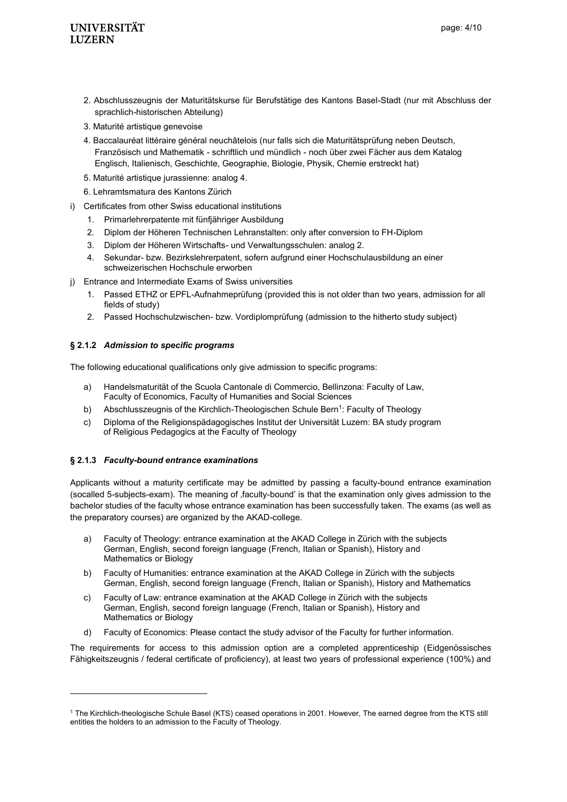# **UNIVERSITÄT LUZERN**

- 2. Abschlusszeugnis der Maturitätskurse für Berufstätige des Kantons Basel-Stadt (nur mit Abschluss der sprachlich-historischen Abteilung)
- 3. Maturité artistique genevoise
- 4. Baccalauréat littéraire général neuchâtelois (nur falls sich die Maturitätsprüfung neben Deutsch, Französisch und Mathematik - schriftlich und mündlich - noch über zwei Fächer aus dem Katalog Englisch, Italienisch, Geschichte, Geographie, Biologie, Physik, Chemie erstreckt hat)
- 5. Maturité artistique jurassienne: analog 4.
- 6. Lehramtsmatura des Kantons Zürich
- i) Certificates from other Swiss educational institutions
	- 1. Primarlehrerpatente mit fünfjähriger Ausbildung
	- 2. Diplom der Höheren Technischen Lehranstalten: only after conversion to FH-Diplom
	- 3. Diplom der Höheren Wirtschafts- und Verwaltungsschulen: analog 2.
	- 4. Sekundar- bzw. Bezirkslehrerpatent, sofern aufgrund einer Hochschulausbildung an einer schweizerischen Hochschule erworben
- j) Entrance and Intermediate Exams of Swiss universities
	- 1. Passed ETHZ or EPFL-Aufnahmeprüfung (provided this is not older than two years, admission for all fields of study)
	- 2. Passed Hochschulzwischen- bzw. Vordiplomprüfung (admission to the hitherto study subject)

## **§ 2.1.2** *Admission to specific programs*

The following educational qualifications only give admission to specific programs:

- a) Handelsmaturität of the Scuola Cantonale di Commercio, Bellinzona: Faculty of Law, Faculty of Economics, Faculty of Humanities and Social Sciences
- b) Abschlusszeugnis of the Kirchlich-Theologischen Schule Bern<sup>1</sup>: Faculty of Theology
- c) Diploma of the Religionspädagogisches Institut der Universität Luzern: BA study program of Religious Pedagogics at the Faculty of Theology

## **§ 2.1.3** *Faculty-bound entrance examinations*

l

Applicants without a maturity certificate may be admitted by passing a faculty-bound entrance examination (socalled 5-subjects-exam). The meaning of faculty-bound' is that the examination only gives admission to the bachelor studies of the faculty whose entrance examination has been successfully taken. The exams (as well as the preparatory courses) are organized by the AKAD-college.

- a) Faculty of Theology: entrance examination at the AKAD College in Zürich with the subjects German, English, second foreign language (French, Italian or Spanish), History and Mathematics or Biology
- b) Faculty of Humanities: entrance examination at the AKAD College in Zürich with the subjects German, English, second foreign language (French, Italian or Spanish), History and Mathematics
- c) Faculty of Law: entrance examination at the AKAD College in Zürich with the subjects German, English, second foreign language (French, Italian or Spanish), History and Mathematics or Biology
- d) Faculty of Economics: Please contact the study advisor of the Faculty for further information.

The requirements for access to this admission option are a completed apprenticeship (Eidgenössisches Fähigkeitszeugnis / federal certificate of proficiency), at least two years of professional experience (100%) and

<sup>1</sup> The Kirchlich-theologische Schule Basel (KTS) ceased operations in 2001. However, The earned degree from the KTS still entitles the holders to an admission to the Faculty of Theology.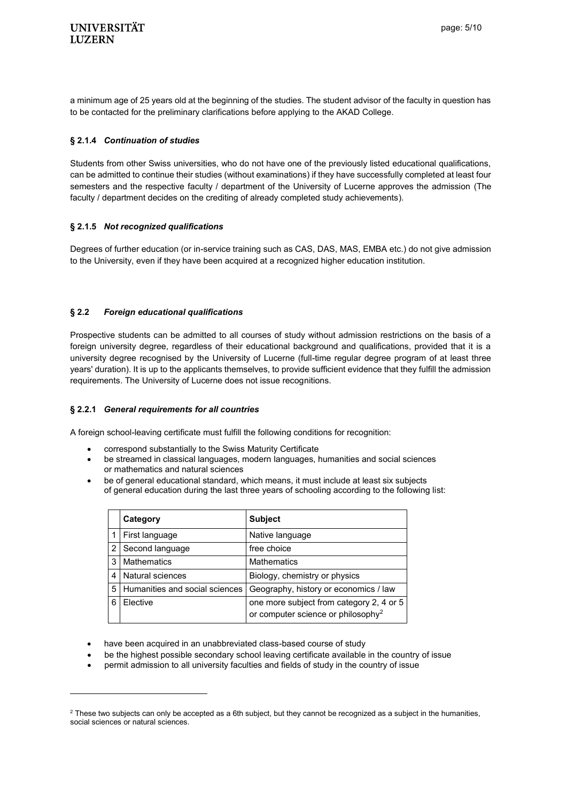a minimum age of 25 years old at the beginning of the studies. The student advisor of the faculty in question has to be contacted for the preliminary clarifications before applying to the AKAD College.

## **§ 2.1.4** *Continuation of studies*

Students from other Swiss universities, who do not have one of the previously listed educational qualifications, can be admitted to continue their studies (without examinations) if they have successfully completed at least four semesters and the respective faculty / department of the University of Lucerne approves the admission (The faculty / department decides on the crediting of already completed study achievements).

# **§ 2.1.5** *Not recognized qualifications*

Degrees of further education (or in-service training such as CAS, DAS, MAS, EMBA etc.) do not give admission to the University, even if they have been acquired at a recognized higher education institution.

# <span id="page-4-0"></span>**§ 2.2** *Foreign educational qualifications*

Prospective students can be admitted to all courses of study without admission restrictions on the basis of a foreign university degree, regardless of their educational background and qualifications, provided that it is a university degree recognised by the University of Lucerne (full-time regular degree program of at least three years' duration). It is up to the applicants themselves, to provide sufficient evidence that they fulfill the admission requirements. The University of Lucerne does not issue recognitions.

## **§ 2.2.1** *General requirements for all countries*

l

A foreign school-leaving certificate must fulfill the following conditions for recognition:

- correspond substantially to the Swiss Maturity Certificate
- be streamed in classical languages, modern languages, humanities and social sciences or mathematics and natural sciences
- be of general educational standard, which means, it must include at least six subjects of general education during the last three years of schooling according to the following list:

|                | Category                       | <b>Subject</b>                                                                             |
|----------------|--------------------------------|--------------------------------------------------------------------------------------------|
|                | First language                 | Native language                                                                            |
| $\mathfrak{p}$ | Second language                | free choice                                                                                |
| 3              | <b>Mathematics</b>             | <b>Mathematics</b>                                                                         |
|                | Natural sciences               | Biology, chemistry or physics                                                              |
| 5              | Humanities and social sciences | Geography, history or economics / law                                                      |
|                | Elective                       | one more subject from category 2, 4 or 5<br>or computer science or philosophy <sup>2</sup> |

- have been acquired in an unabbreviated class-based course of study
- be the highest possible secondary school leaving certificate available in the country of issue
- permit admission to all university faculties and fields of study in the country of issue

 $2$  These two subjects can only be accepted as a 6th subject, but they cannot be recognized as a subject in the humanities, social sciences or natural sciences.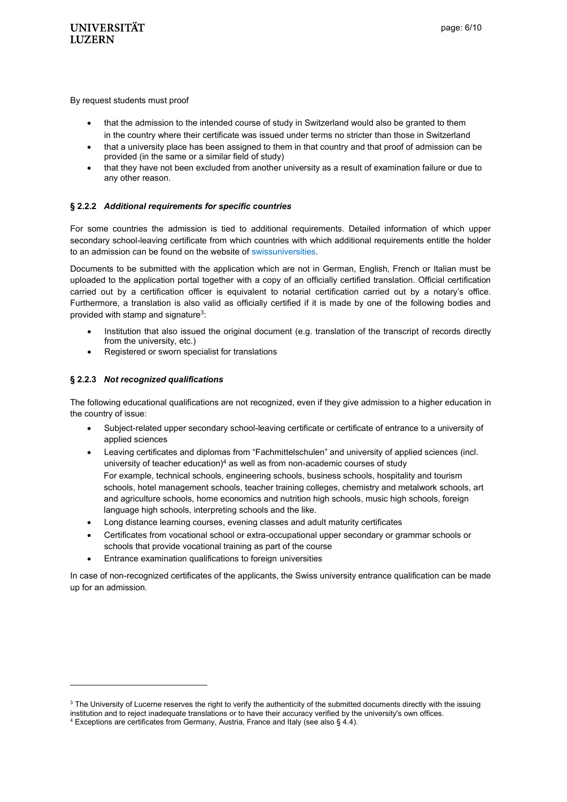By request students must proof

- that the admission to the intended course of study in Switzerland would also be granted to them in the country where their certificate was issued under terms no stricter than those in Switzerland
- that a university place has been assigned to them in that country and that proof of admission can be provided (in the same or a similar field of study)
- that they have not been excluded from another university as a result of examination failure or due to any other reason.

## **§ 2.2.2** *Additional requirements for specific countries*

For some countries the admission is tied to additional requirements. Detailed information of which upper secondary school-leaving certificate from which countries with which additional requirements entitle the holder to an admission can be found on the website of [swissuniversities.](https://www.swissuniversities.ch/themen/studium/zulassung-zu-den-universitaeren-hochschulen/laender)

Documents to be submitted with the application which are not in German, English, French or Italian must be uploaded to the application portal together with a copy of an officially certified translation. Official certification carried out by a certification officer is equivalent to notarial certification carried out by a notary's office. Furthermore, a translation is also valid as officially certified if it is made by one of the following bodies and provided with stamp and signature $3$ :

- Institution that also issued the original document (e.g. translation of the transcript of records directly from the university, etc.)
- Registered or sworn specialist for translations

## **§ 2.2.3** *Not recognized qualifications*

l

The following educational qualifications are not recognized, even if they give admission to a higher education in the country of issue:

- Subject-related upper secondary school-leaving certificate or certificate of entrance to a university of applied sciences
- Leaving certificates and diplomas from "Fachmittelschulen" and university of applied sciences (incl. university of teacher education) $4$  as well as from non-academic courses of study For example, technical schools, engineering schools, business schools, hospitality and tourism schools, hotel management schools, teacher training colleges, chemistry and metalwork schools, art and agriculture schools, home economics and nutrition high schools, music high schools, foreign language high schools, interpreting schools and the like.
- Long distance learning courses, evening classes and adult maturity certificates
- Certificates from vocational school or extra-occupational upper secondary or grammar schools or schools that provide vocational training as part of the course
- Entrance examination qualifications to foreign universities

In case of non-recognized certificates of the applicants, the Swiss university entrance qualification can be made up for an admission.

<sup>&</sup>lt;sup>3</sup> The University of Lucerne reserves the right to verify the authenticity of the submitted documents directly with the issuing institution and to reject inadequate translations or to have their accuracy verified by the university's own offices.

 $4$  Exceptions are certificates from Germany, Austria, France and Italy (see also § 4.4).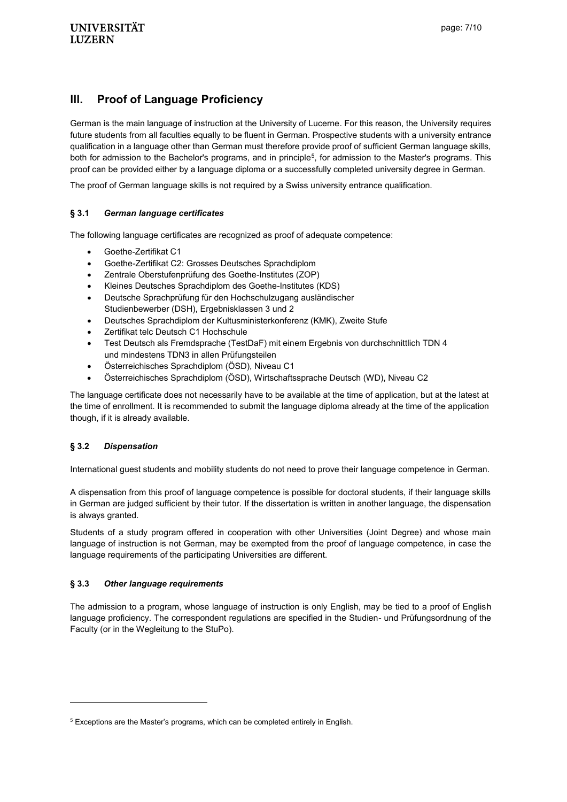# <span id="page-6-0"></span>**lll. Proof of Language Proficiency**

<span id="page-6-1"></span>German is the main language of instruction at the University of Lucerne. For this reason, the University requires future students from all faculties equally to be fluent in German. Prospective students with a university entrance qualification in a language other than German must therefore provide proof of sufficient German language skills, both for admission to the Bachelor's programs, and in principle<sup>5</sup>, for admission to the Master's programs. This proof can be provided either by a language diploma or a successfully completed university degree in German.

The proof of German language skills is not required by a Swiss university entrance qualification.

## **§ 3.1** *German language certificates*

<span id="page-6-2"></span>The following language certificates are recognized as proof of adequate competence:

- Goethe-Zertifikat C1
- Goethe-Zertifikat C2: Grosses Deutsches Sprachdiplom
- Zentrale Oberstufenprüfung des Goethe-Institutes (ZOP)
- Kleines Deutsches Sprachdiplom des Goethe-Institutes (KDS)
- Deutsche Sprachprüfung für den Hochschulzugang ausländischer Studienbewerber (DSH), Ergebnisklassen 3 und 2
- Deutsches Sprachdiplom der Kultusministerkonferenz (KMK), Zweite Stufe
- Zertifikat telc Deutsch C1 Hochschule
- Test Deutsch als Fremdsprache (TestDaF) mit einem Ergebnis von durchschnittlich TDN 4 und mindestens TDN3 in allen Prüfungsteilen
- Österreichisches Sprachdiplom (ÖSD), Niveau C1
- Österreichisches Sprachdiplom (ÖSD), Wirtschaftssprache Deutsch (WD), Niveau C2

The language certificate does not necessarily have to be available at the time of application, but at the latest at the time of enrollment. It is recommended to submit the language diploma already at the time of the application though, if it is already available.

## **§ 3.2** *Dispensation*

l

<span id="page-6-3"></span>International guest students and mobility students do not need to prove their language competence in German.

A dispensation from this proof of language competence is possible for doctoral students, if their language skills in German are judged sufficient by their tutor. If the dissertation is written in another language, the dispensation is always granted.

Students of a study program offered in cooperation with other Universities (Joint Degree) and whose main language of instruction is not German, may be exempted from the proof of language competence, in case the language requirements of the participating Universities are different.

#### **§ 3.3** *Other language requirements*

The admission to a program, whose language of instruction is only English, may be tied to a proof of English language proficiency. The correspondent regulations are specified in the Studien- und Prüfungsordnung of the Faculty (or in the Wegleitung to the StuPo).

<sup>5</sup> Exceptions are the Master's programs, which can be completed entirely in English.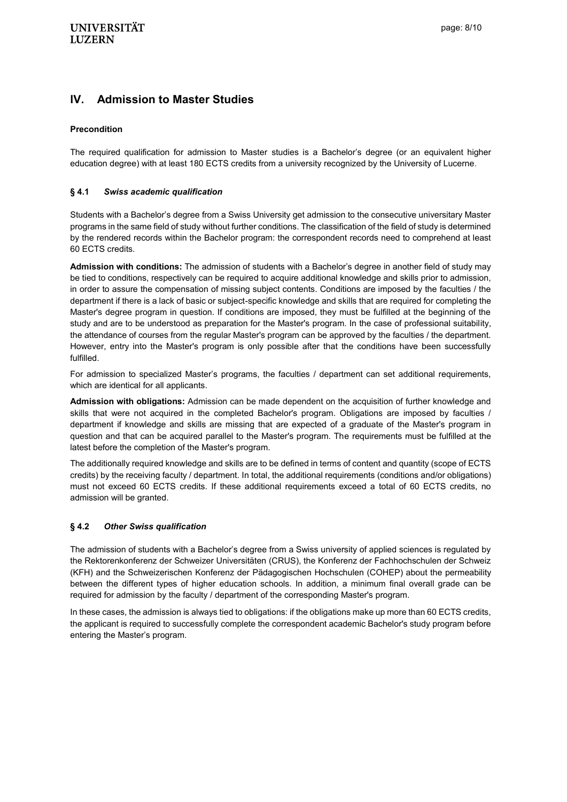# <span id="page-7-0"></span>**lV. Admission to Master Studies**

## **Precondition**

The required qualification for admission to Master studies is a Bachelor's degree (or an equivalent higher education degree) with at least 180 ECTS credits from a university recognized by the University of Lucerne.

#### <span id="page-7-1"></span>**§ 4.1** *Swiss academic qualification*

<span id="page-7-2"></span>Students with a Bachelor's degree from a Swiss University get admission to the consecutive universitary Master programs in the same field of study without further conditions. The classification of the field of study is determined by the rendered records within the Bachelor program: the correspondent records need to comprehend at least 60 ECTS credits.

**Admission with conditions:** The admission of students with a Bachelor's degree in another field of study may be tied to conditions, respectively can be required to acquire additional knowledge and skills prior to admission, in order to assure the compensation of missing subject contents. Conditions are imposed by the faculties / the department if there is a lack of basic or subject-specific knowledge and skills that are required for completing the Master's degree program in question. If conditions are imposed, they must be fulfilled at the beginning of the study and are to be understood as preparation for the Master's program. In the case of professional suitability, the attendance of courses from the regular Master's program can be approved by the faculties / the department. However, entry into the Master's program is only possible after that the conditions have been successfully fulfilled.

For admission to specialized Master's programs, the faculties / department can set additional requirements, which are identical for all applicants.

**Admission with obligations:** Admission can be made dependent on the acquisition of further knowledge and skills that were not acquired in the completed Bachelor's program. Obligations are imposed by faculties / department if knowledge and skills are missing that are expected of a graduate of the Master's program in question and that can be acquired parallel to the Master's program. The requirements must be fulfilled at the latest before the completion of the Master's program.

The additionally required knowledge and skills are to be defined in terms of content and quantity (scope of ECTS credits) by the receiving faculty / department. In total, the additional requirements (conditions and/or obligations) must not exceed 60 ECTS credits. If these additional requirements exceed a total of 60 ECTS credits, no admission will be granted.

#### **§ 4.2** *Other Swiss qualification*

The admission of students with a Bachelor's degree from a Swiss university of applied sciences is regulated by the Rektorenkonferenz der Schweizer Universitäten (CRUS), the Konferenz der Fachhochschulen der Schweiz (KFH) and the Schweizerischen Konferenz der Pädagogischen Hochschulen (COHEP) about the permeability between the different types of higher education schools. In addition, a minimum final overall grade can be required for admission by the faculty / department of the corresponding Master's program.

In these cases, the admission is always tied to obligations: if the obligations make up more than 60 ECTS credits, the applicant is required to successfully complete the correspondent academic Bachelor's study program before entering the Master's program.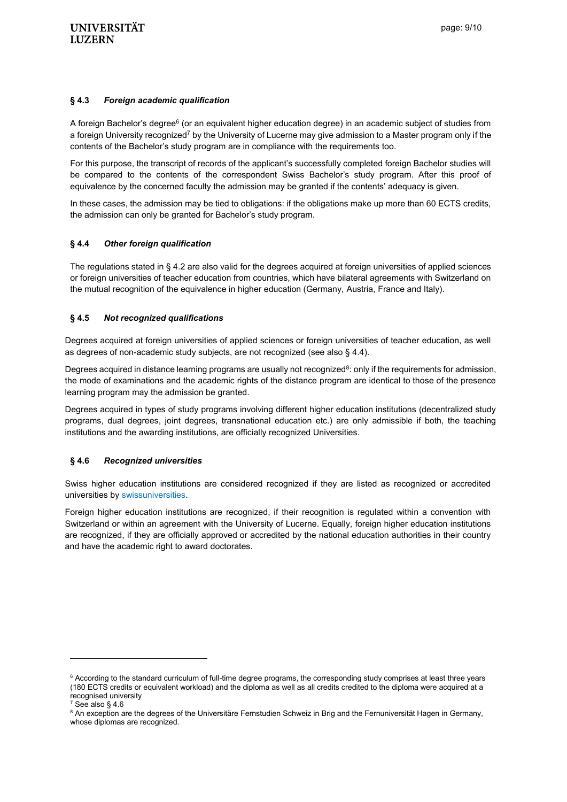#### <span id="page-8-0"></span>**§ 4.3** *Foreign academic qualification*

<span id="page-8-1"></span>A foreign Bachelor's degree<sup>6</sup> (or an equivalent higher education degree) in an academic subject of studies from a foreign University recognized<sup>7</sup> by the University of Lucerne may give admission to a Master program only if the contents of the Bachelor's study program are in compliance with the requirements too.

For this purpose, the transcript of records of the applicant's successfully completed foreign Bachelor studies will be compared to the contents of the correspondent Swiss Bachelor's study program. After this proof of equivalence by the concerned faculty the admission may be granted if the contents' adequacy is given.

In these cases, the admission may be tied to obligations: if the obligations make up more than 60 ECTS credits, the admission can only be granted for Bachelor's study program.

#### **§ 4.4** *Other foreign qualification*

<span id="page-8-2"></span>The regulations stated in § 4.2 are also valid for the degrees acquired at foreign universities of applied sciences or foreign universities of teacher education from countries, which have bilateral agreements with Switzerland on the mutual recognition of the equivalence in higher education (Germany, Austria, France and Italy).

#### **§ 4.5** *Not recognized qualifications*

Degrees acquired at foreign universities of applied sciences or foreign universities of teacher education, as well as degrees of non-academic study subjects, are not recognized (see also § 4.4).

Degrees acquired in distance learning programs are usually not recognized<sup>8</sup>: only if the requirements for admission, the mode of examinations and the academic rights of the distance program are identical to those of the presence learning program may the admission be granted.

Degrees acquired in types of study programs involving different higher education institutions (decentralized study programs, dual degrees, joint degrees, transnational education etc.) are only admissible if both, the teaching institutions and the awarding institutions, are officially recognized Universities.

## <span id="page-8-3"></span>**§ 4.6** *Recognized universities*

Swiss higher education institutions are considered recognized if they are listed as recognized or accredited universities by [swissuniversities.](http://www.swissuniversities.ch/en/higher-education-area/recognised-swiss-higher-education-institutions/)

Foreign higher education institutions are recognized, if their recognition is regulated within a convention with Switzerland or within an agreement with the University of Lucerne. Equally, foreign higher education institutions are recognized, if they are officially approved or accredited by the national education authorities in their country and have the academic right to award doctorates.

l

 $6$  According to the standard curriculum of full-time degree programs, the corresponding study comprises at least three years (180 ECTS credits or equivalent workload) and the diploma as well as all credits credited to the diploma were acquired at a recognised university

 $7 \text{ See } \text{also } \S 4.6$ 

<sup>&</sup>lt;sup>8</sup> An exception are the degrees of the Universitäre Fernstudien Schweiz in Brig and the Fernuniversität Hagen in Germany, whose diplomas are recognized.